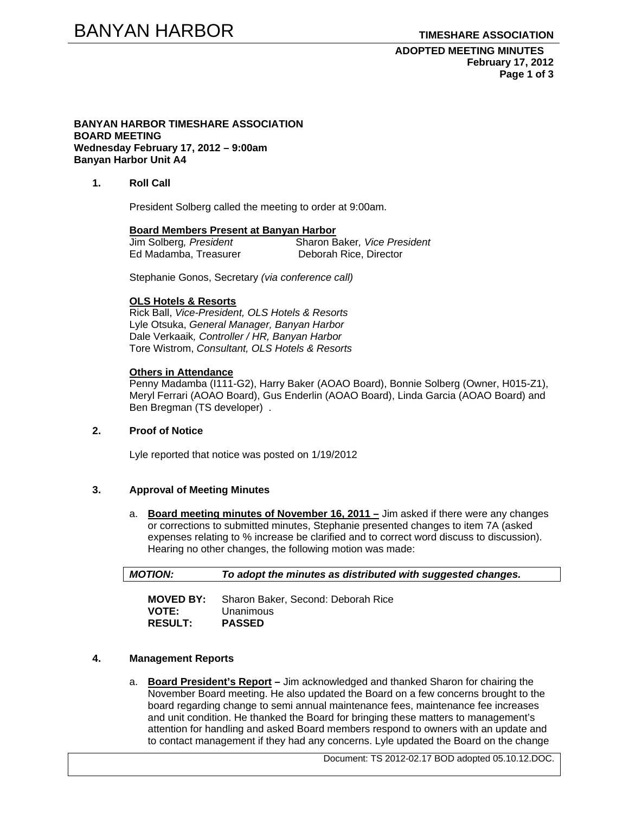**ADOPTED MEETING MINUTES February 17, 2012 Page 1 of 3** 

#### **BANYAN HARBOR TIMESHARE ASSOCIATION BOARD MEETING Wednesday February 17, 2012 – 9:00am Banyan Harbor Unit A4**

### **1. Roll Call**

President Solberg called the meeting to order at 9:00am.

#### **Board Members Present at Banyan Harbor**

| Jim Solberg, President | Sharon Baker, Vice President |
|------------------------|------------------------------|
| Ed Madamba, Treasurer  | Deborah Rice, Director       |

Stephanie Gonos, Secretary *(via conference call)* 

#### **OLS Hotels & Resorts**

Rick Ball, *Vice-President, OLS Hotels & Resorts* Lyle Otsuka, *General Manager, Banyan Harbor*  Dale Verkaaik*, Controller / HR, Banyan Harbor*  Tore Wistrom, *Consultant, OLS Hotels & Resorts* 

#### **Others in Attendance**

Penny Madamba (I111-G2), Harry Baker (AOAO Board), Bonnie Solberg (Owner, H015-Z1), Meryl Ferrari (AOAO Board), Gus Enderlin (AOAO Board), Linda Garcia (AOAO Board) and Ben Bregman (TS developer) .

# **2. Proof of Notice**

Lyle reported that notice was posted on 1/19/2012

# **3. Approval of Meeting Minutes**

a. **Board meeting minutes of November 16, 2011 –** Jim asked if there were any changes or corrections to submitted minutes, Stephanie presented changes to item 7A (asked expenses relating to % increase be clarified and to correct word discuss to discussion). Hearing no other changes, the following motion was made:

| <b>MOTION:</b>   | To adopt the minutes as distributed with suggested changes. |  |
|------------------|-------------------------------------------------------------|--|
| <b>MOVED BY:</b> | Sharon Baker, Second: Deborah Rice                          |  |
| <b>VOTE:</b>     | Unanimous                                                   |  |

**RESULT: PASSED** 

# **4. Management Reports**

a. **Board President's Report –** Jim acknowledged and thanked Sharon for chairing the November Board meeting. He also updated the Board on a few concerns brought to the board regarding change to semi annual maintenance fees, maintenance fee increases and unit condition. He thanked the Board for bringing these matters to management's attention for handling and asked Board members respond to owners with an update and to contact management if they had any concerns. Lyle updated the Board on the change

Document: TS 2012-02.17 BOD adopted 05.10.12.DOC.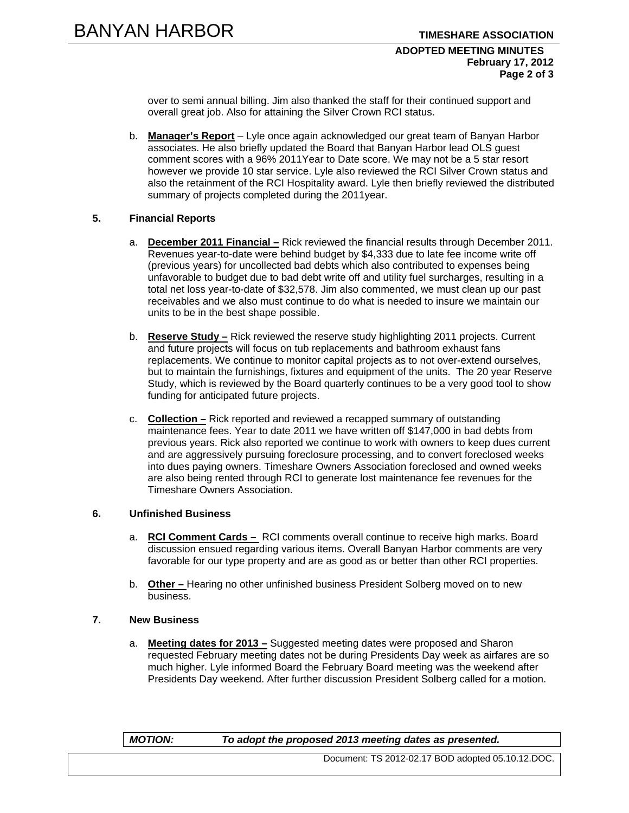#### **ADOPTED MEETING MINUTES February 17, 2012 Page 2 of 3**

over to semi annual billing. Jim also thanked the staff for their continued support and overall great job. Also for attaining the Silver Crown RCI status.

b. **Manager's Report** – Lyle once again acknowledged our great team of Banyan Harbor associates. He also briefly updated the Board that Banyan Harbor lead OLS guest comment scores with a 96% 2011Year to Date score. We may not be a 5 star resort however we provide 10 star service. Lyle also reviewed the RCI Silver Crown status and also the retainment of the RCI Hospitality award. Lyle then briefly reviewed the distributed summary of projects completed during the 2011year.

### **5. Financial Reports**

- a. **December 2011 Financial –** Rick reviewed the financial results through December 2011. Revenues year-to-date were behind budget by \$4,333 due to late fee income write off (previous years) for uncollected bad debts which also contributed to expenses being unfavorable to budget due to bad debt write off and utility fuel surcharges, resulting in a total net loss year-to-date of \$32,578. Jim also commented, we must clean up our past receivables and we also must continue to do what is needed to insure we maintain our units to be in the best shape possible.
- b. **Reserve Study –** Rick reviewed the reserve study highlighting 2011 projects. Current and future projects will focus on tub replacements and bathroom exhaust fans replacements. We continue to monitor capital projects as to not over-extend ourselves, but to maintain the furnishings, fixtures and equipment of the units. The 20 year Reserve Study, which is reviewed by the Board quarterly continues to be a very good tool to show funding for anticipated future projects.
- c. **Collection –** Rick reported and reviewed a recapped summary of outstanding maintenance fees. Year to date 2011 we have written off \$147,000 in bad debts from previous years. Rick also reported we continue to work with owners to keep dues current and are aggressively pursuing foreclosure processing, and to convert foreclosed weeks into dues paying owners. Timeshare Owners Association foreclosed and owned weeks are also being rented through RCI to generate lost maintenance fee revenues for the Timeshare Owners Association.

# **6. Unfinished Business**

- a. **RCI Comment Cards** RCI comments overall continue to receive high marks. Board discussion ensued regarding various items. Overall Banyan Harbor comments are very favorable for our type property and are as good as or better than other RCI properties.
- b. **Other** Hearing no other unfinished business President Solberg moved on to new business.

# **7. New Business**

a. **Meeting dates for 2013 –** Suggested meeting dates were proposed and Sharon requested February meeting dates not be during Presidents Day week as airfares are so much higher. Lyle informed Board the February Board meeting was the weekend after Presidents Day weekend. After further discussion President Solberg called for a motion.

### *MOTION: To adopt the proposed 2013 meeting dates as presented.*

Document: TS 2012-02.17 BOD adopted 05.10.12.DOC.